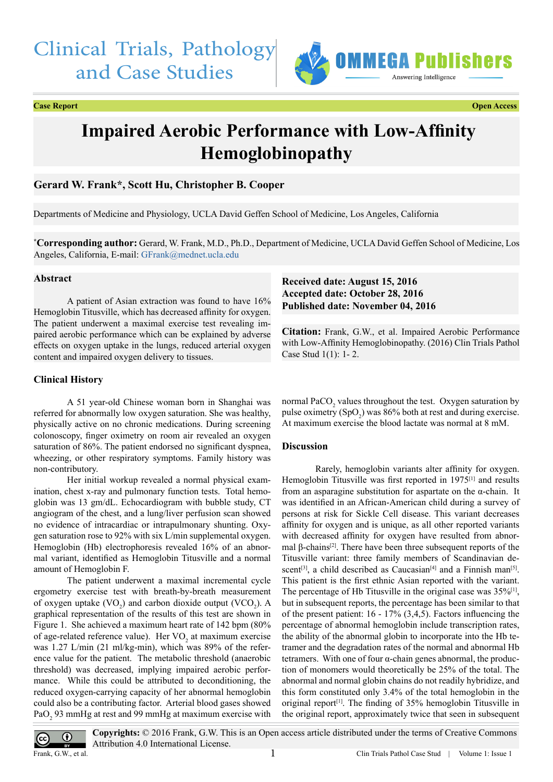# Clinical Trials, Pathology and Case Studies



### **Case Report Open Access**

# **Impaired Aerobic Performance with Low-Affinity Hemoglobinopathy**

## **Gerard W. Frank\*, Scott Hu, Christopher B. Cooper**

Departments of Medicine and Physiology, UCLA David Geffen School of Medicine, Los Angeles, California

**\* Corresponding author:** Gerard, W. Frank, M.D., Ph.D., Department of Medicine, UCLA David Geffen School of Medicine, Los Angeles, California, E-mail: [GFrank@mednet.ucla.edu](mailto:GFrank@mednet.ucla.edu)

#### **Abstract**

A patient of Asian extraction was found to have 16% Hemoglobin Titusville, which has decreased affinity for oxygen. The patient underwent a maximal exercise test revealing impaired aerobic performance which can be explained by adverse effects on oxygen uptake in the lungs, reduced arterial oxygen content and impaired oxygen delivery to tissues.

### **Clinical History**

A 51 year-old Chinese woman born in Shanghai was referred for abnormally low oxygen saturation. She was healthy, physically active on no chronic medications. During screening colonoscopy, finger oximetry on room air revealed an oxygen saturation of 86%. The patient endorsed no significant dyspnea, wheezing, or other respiratory symptoms. Family history was non-contributory.

Her initial workup revealed a normal physical examination, chest x-ray and pulmonary function tests. Total hemoglobin was 13 gm/dL. Echocardiogram with bubble study, CT angiogram of the chest, and a lung/liver perfusion scan showed no evidence of intracardiac or intrapulmonary shunting. Oxygen saturation rose to 92% with six L/min supplemental oxygen. Hemoglobin (Hb) electrophoresis revealed 16% of an abnormal variant, identified as Hemoglobin Titusville and a normal amount of Hemoglobin F.

The patient underwent a maximal incremental cycle ergometry exercise test with breath-by-breath measurement of oxygen uptake  $(VO_2)$  and carbon dioxide output  $(VCO_2)$ . A graphical representation of the results of this test are shown in Figure 1. She achieved a maximum heart rate of 142 bpm (80% of age-related reference value). Her  $VO<sub>2</sub>$  at maximum exercise was 1.27 L/min (21 ml/kg-min), which was 89% of the reference value for the patient. The metabolic threshold (anaerobic threshold) was decreased, implying impaired aerobic performance. While this could be attributed to deconditioning, the reduced oxygen-carrying capacity of her abnormal hemoglobin could also be a contributing factor. Arterial blood gases showed PaO<sub>2</sub> 93 mmHg at rest and 99 mmHg at maximum exercise with

## **Received date: August 15, 2016 Accepted date: October 28, 2016 Published date: November 04, 2016**

**Citation:** Frank, G.W., et al. Impaired Aerobic Performance with Low-Affinity Hemoglobinopathy. (2016) Clin Trials Pathol Case Stud 1(1): 1- 2.

normal  $PaCO<sub>2</sub>$  values throughout the test. Oxygen saturation by pulse oximetry  $(SpO<sub>2</sub>)$  was 86% both at rest and during exercise. At maximum exercise the blood lactate was normal at 8 mM.

#### **Discussion**

Rarely, hemoglobin variants alter affinity for oxygen. Hemoglobin Titusville was first reported in 1975<sup>[1]</sup> and results from an asparagine substitution for aspartate on the  $\alpha$ -chain. It was identified in an African-American child during a survey of persons at risk for Sickle Cell disease. This variant decreases affinity for oxygen and is unique, as all other reported variants with decreased affinity for oxygen have resulted from abnormal β-chains<sup>[2]</sup>. There have been three subsequent reports of the Titusville variant: three family members of Scandinavian de-scent<sup>[3]</sup>, a child described as Caucasian<sup>[4]</sup> and a Finnish man<sup>[\[5\]](#page-1-4)</sup>. This patient is the first ethnic Asian reported with the variant. The percentage of Hb Titusville in the original case was  $35\%/11$ , but in subsequent reports, the percentage has been similar to that of the present patient: 16 - 17% (3,4,5). Factors influencing the percentage of abnormal hemoglobin include transcription rates, the ability of the abnormal globin to incorporate into the Hb tetramer and the degradation rates of the normal and abnormal Hb tetramers. With one of four α-chain genes abnormal, the production of monomers would theoretically be 25% of the total. The abnormal and normal globin chains do not readily hybridize, and this form constituted only 3.4% of the total hemoglobin in the original report<sup>[1]</sup>. The finding of  $35%$  hemoglobin Titusville in the original report, approximately twice that seen in subsequent



**Copyrights:** © 2016 Frank, G.W. This is an Open access article distributed under the terms of Creative Commons Attribution 4.0 International License.